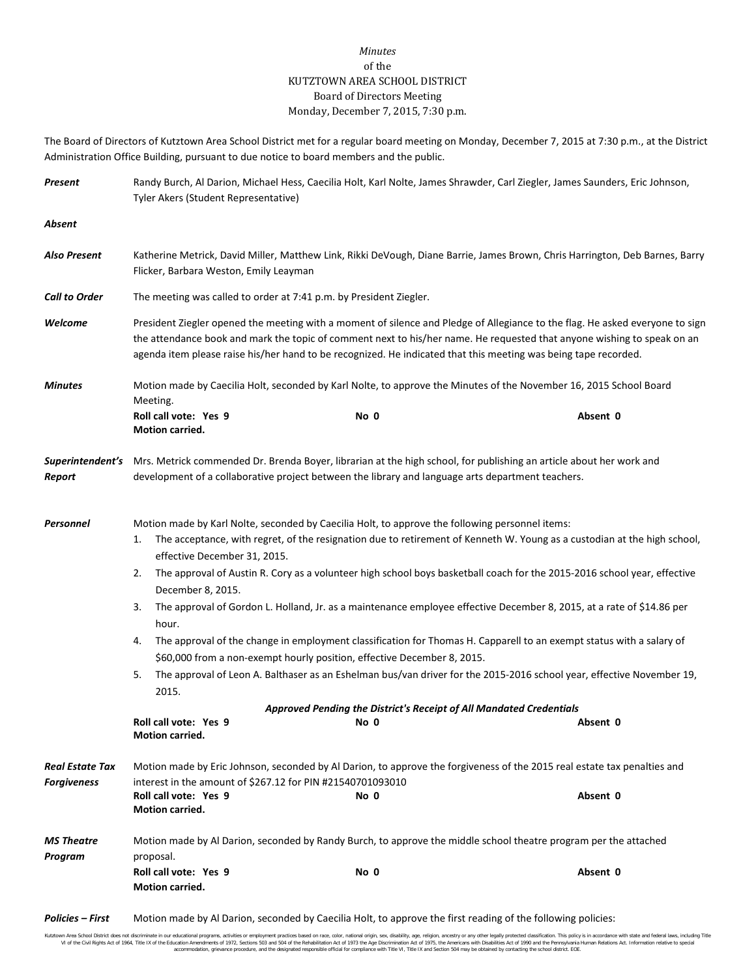## *Minutes* of the KUTZTOWN AREA SCHOOL DISTRICT Board of Directors Meeting Monday, December 7, 2015, 7:30 p.m.

The Board of Directors of Kutztown Area School District met for a regular board meeting on Monday, December 7, 2015 at 7:30 p.m., at the District Administration Office Building, pursuant to due notice to board members and the public.

| Present                        | Randy Burch, Al Darion, Michael Hess, Caecilia Holt, Karl Nolte, James Shrawder, Carl Ziegler, James Saunders, Eric Johnson,<br>Tyler Akers (Student Representative)                                                                                                                                                                                                                                                                                                                                                                                                                                                                                                                                                                                                                                                                                                                                                                                                                                                                                     |                                                                                                                                                                                                |          |  |  |
|--------------------------------|----------------------------------------------------------------------------------------------------------------------------------------------------------------------------------------------------------------------------------------------------------------------------------------------------------------------------------------------------------------------------------------------------------------------------------------------------------------------------------------------------------------------------------------------------------------------------------------------------------------------------------------------------------------------------------------------------------------------------------------------------------------------------------------------------------------------------------------------------------------------------------------------------------------------------------------------------------------------------------------------------------------------------------------------------------|------------------------------------------------------------------------------------------------------------------------------------------------------------------------------------------------|----------|--|--|
| Absent                         |                                                                                                                                                                                                                                                                                                                                                                                                                                                                                                                                                                                                                                                                                                                                                                                                                                                                                                                                                                                                                                                          |                                                                                                                                                                                                |          |  |  |
| Also Present                   | Katherine Metrick, David Miller, Matthew Link, Rikki DeVough, Diane Barrie, James Brown, Chris Harrington, Deb Barnes, Barry<br>Flicker, Barbara Weston, Emily Leayman                                                                                                                                                                                                                                                                                                                                                                                                                                                                                                                                                                                                                                                                                                                                                                                                                                                                                   |                                                                                                                                                                                                |          |  |  |
| <b>Call to Order</b>           | The meeting was called to order at 7:41 p.m. by President Ziegler.                                                                                                                                                                                                                                                                                                                                                                                                                                                                                                                                                                                                                                                                                                                                                                                                                                                                                                                                                                                       |                                                                                                                                                                                                |          |  |  |
| Welcome                        | President Ziegler opened the meeting with a moment of silence and Pledge of Allegiance to the flag. He asked everyone to sign<br>the attendance book and mark the topic of comment next to his/her name. He requested that anyone wishing to speak on an<br>agenda item please raise his/her hand to be recognized. He indicated that this meeting was being tape recorded.                                                                                                                                                                                                                                                                                                                                                                                                                                                                                                                                                                                                                                                                              |                                                                                                                                                                                                |          |  |  |
| <b>Minutes</b>                 | Motion made by Caecilia Holt, seconded by Karl Nolte, to approve the Minutes of the November 16, 2015 School Board<br>Meeting.                                                                                                                                                                                                                                                                                                                                                                                                                                                                                                                                                                                                                                                                                                                                                                                                                                                                                                                           |                                                                                                                                                                                                |          |  |  |
|                                | Roll call vote: Yes 9<br>Motion carried.                                                                                                                                                                                                                                                                                                                                                                                                                                                                                                                                                                                                                                                                                                                                                                                                                                                                                                                                                                                                                 | No 0                                                                                                                                                                                           | Absent 0 |  |  |
| Superintendent's<br>Report     | Mrs. Metrick commended Dr. Brenda Boyer, librarian at the high school, for publishing an article about her work and<br>development of a collaborative project between the library and language arts department teachers.                                                                                                                                                                                                                                                                                                                                                                                                                                                                                                                                                                                                                                                                                                                                                                                                                                 |                                                                                                                                                                                                |          |  |  |
| Personnel                      | Motion made by Karl Nolte, seconded by Caecilia Holt, to approve the following personnel items:<br>The acceptance, with regret, of the resignation due to retirement of Kenneth W. Young as a custodian at the high school,<br>1.<br>effective December 31, 2015.<br>The approval of Austin R. Cory as a volunteer high school boys basketball coach for the 2015-2016 school year, effective<br>2.<br>December 8, 2015.<br>The approval of Gordon L. Holland, Jr. as a maintenance employee effective December 8, 2015, at a rate of \$14.86 per<br>3.<br>hour.<br>The approval of the change in employment classification for Thomas H. Capparell to an exempt status with a salary of<br>4.<br>\$60,000 from a non-exempt hourly position, effective December 8, 2015.<br>The approval of Leon A. Balthaser as an Eshelman bus/van driver for the 2015-2016 school year, effective November 19,<br>5.<br>2015.<br>Approved Pending the District's Receipt of All Mandated Credentials<br>Roll call vote: Yes 9<br>Absent 0<br>No 0<br>Motion carried. |                                                                                                                                                                                                |          |  |  |
| Real Estate Tax<br>Forgiveness | Roll call vote: Yes 9<br>Motion carried.                                                                                                                                                                                                                                                                                                                                                                                                                                                                                                                                                                                                                                                                                                                                                                                                                                                                                                                                                                                                                 | Motion made by Eric Johnson, seconded by Al Darion, to approve the forgiveness of the 2015 real estate tax penalties and<br>interest in the amount of \$267.12 for PIN #21540701093010<br>No 0 | Absent 0 |  |  |
| MS Theatre                     | Motion made by Al Darion, seconded by Randy Burch, to approve the middle school theatre program per the attached                                                                                                                                                                                                                                                                                                                                                                                                                                                                                                                                                                                                                                                                                                                                                                                                                                                                                                                                         |                                                                                                                                                                                                |          |  |  |
| Program                        | proposal.<br>Roll call vote: Yes 9<br>Motion carried.                                                                                                                                                                                                                                                                                                                                                                                                                                                                                                                                                                                                                                                                                                                                                                                                                                                                                                                                                                                                    | No 0                                                                                                                                                                                           | Absent 0 |  |  |
| Policies – First               | Motion made by Al Darion, seconded by Caecilia Holt, to approve the first reading of the following policies:                                                                                                                                                                                                                                                                                                                                                                                                                                                                                                                                                                                                                                                                                                                                                                                                                                                                                                                                             |                                                                                                                                                                                                |          |  |  |

Kutztown Area School District does not discriminate in our educational programs, activities or employment practices based on race, color, national origin, sex, disability, age, religion, ancestry or any other legally prot